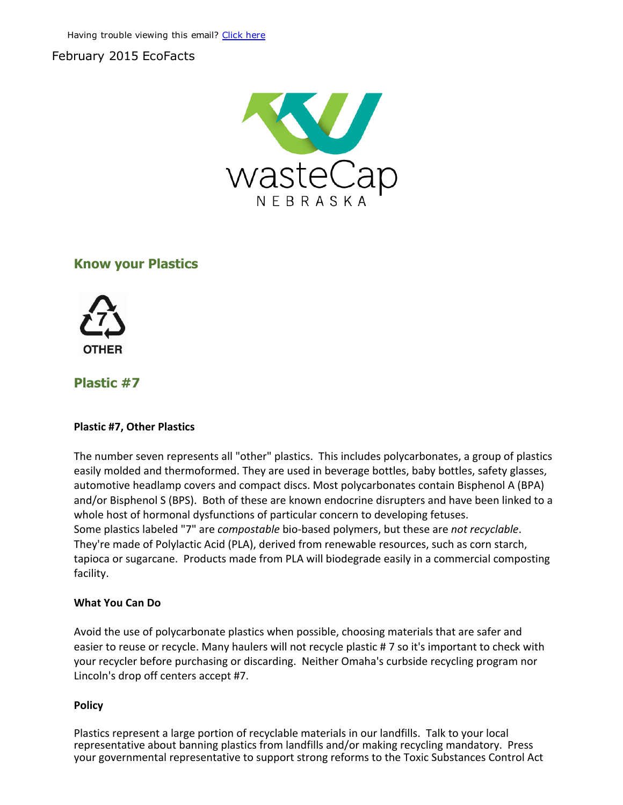## February 2015 EcoFacts



# Know your Plastics



## Plastic #7

#### Plastic #7, Other Plastics

The number seven represents all "other" plastics. This includes polycarbonates, a group of plastics easily molded and thermoformed. They are used in beverage bottles, baby bottles, safety glasses, automotive headlamp covers and compact discs. Most polycarbonates contain Bisphenol A (BPA) and/or Bisphenol S (BPS). Both of these are known endocrine disrupters and have been linked to a whole host of hormonal dysfunctions of particular concern to developing fetuses. Some plastics labeled "7" are *compostable* bio‐based polymers, but these are *not recyclable*. They're made of Polylactic Acid (PLA), derived from renewable resources, such as corn starch, tapioca or sugarcane. Products made from PLA will biodegrade easily in a commercial composting facility.

#### What You Can Do

Avoid the use of polycarbonate plastics when possible, choosing materials that are safer and easier to reuse or recycle. Many haulers will not recycle plastic # 7 so it's important to check with your recycler before purchasing or discarding. Neither Omaha's curbside recycling program nor Lincoln's drop off centers accept #7.

#### Policy

Plastics represent a large portion of recyclable materials in our landfills. Talk to your local representative about banning plastics from landfills and/or making recycling mandatory. Press your governmental representative to support strong reforms to the Toxic Substances Control Act